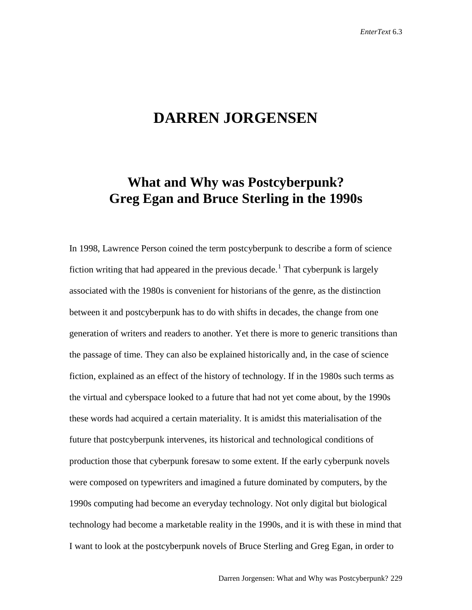## **DARREN JORGENSEN**

## **What and Why was Postcyberpunk? Greg Egan and Bruce Sterling in the 1990s**

In 1998, Lawrence Person coined the term postcyberpunk to describe a form of science fiction writing that had appeared in the previous decade.<sup>[1](#page-15-0)</sup> That cyberpunk is largely associated with the 1980s is convenient for historians of the genre, as the distinction between it and postcyberpunk has to do with shifts in decades, the change from one generation of writers and readers to another. Yet there is more to generic transitions than the passage of time. They can also be explained historically and, in the case of science fiction, explained as an effect of the history of technology. If in the 1980s such terms as the virtual and cyberspace looked to a future that had not yet come about, by the 1990s these words had acquired a certain materiality. It is amidst this materialisation of the future that postcyberpunk intervenes, its historical and technological conditions of production those that cyberpunk foresaw to some extent. If the early cyberpunk novels were composed on typewriters and imagined a future dominated by computers, by the 1990s computing had become an everyday technology. Not only digital but biological technology had become a marketable reality in the 1990s, and it is with these in mind that I want to look at the postcyberpunk novels of Bruce Sterling and Greg Egan, in order to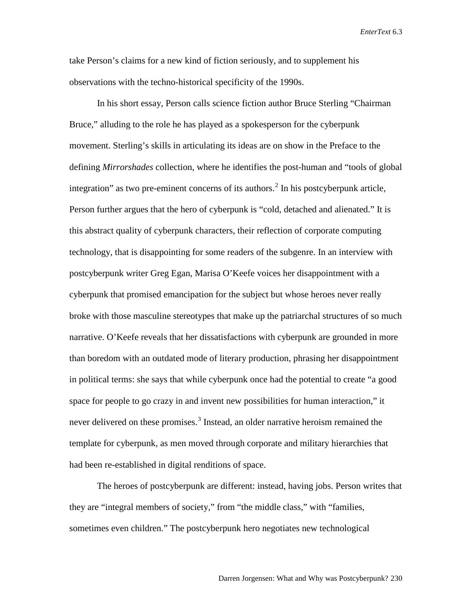take Person's claims for a new kind of fiction seriously, and to supplement his observations with the techno-historical specificity of the 1990s.

In his short essay, Person calls science fiction author Bruce Sterling "Chairman Bruce," alluding to the role he has played as a spokesperson for the cyberpunk movement. Sterling's skills in articulating its ideas are on show in the Preface to the defining *Mirrorshades* collection, where he identifies the post-human and "tools of global integration" as two pre-eminent concerns of its authors. [2](#page-15-1) In his postcyberpunk article, Person further argues that the hero of cyberpunk is "cold, detached and alienated." It is this abstract quality of cyberpunk characters, their reflection of corporate computing technology, that is disappointing for some readers of the subgenre. In an interview with postcyberpunk writer Greg Egan, Marisa O'Keefe voices her disappointment with a cyberpunk that promised emancipation for the subject but whose heroes never really broke with those masculine stereotypes that make up the patriarchal structures of so much narrative. O'Keefe reveals that her dissatisfactions with cyberpunk are grounded in more than boredom with an outdated mode of literary production, phrasing her disappointment in political terms: she says that while cyberpunk once had the potential to create "a good space for people to go crazy in and invent new possibilities for human interaction," it never delivered on these promises.<sup>[3](#page-15-2)</sup> Instead, an older narrative heroism remained the template for cyberpunk, as men moved through corporate and military hierarchies that had been re-established in digital renditions of space.

The heroes of postcyberpunk are different: instead, having jobs. Person writes that they are "integral members of society," from "the middle class," with "families, sometimes even children." The postcyberpunk hero negotiates new technological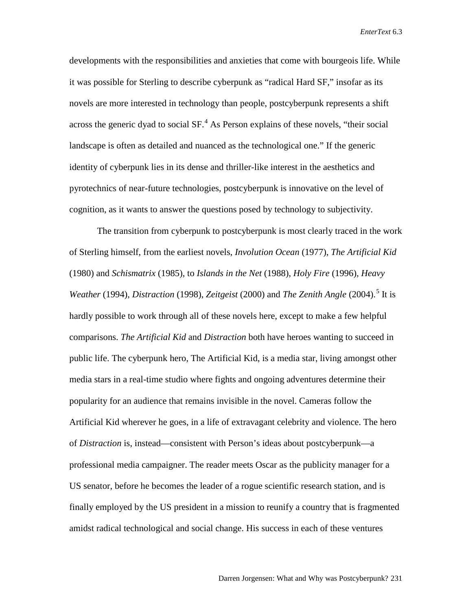developments with the responsibilities and anxieties that come with bourgeois life. While it was possible for Sterling to describe cyberpunk as "radical Hard SF," insofar as its novels are more interested in technology than people, postcyberpunk represents a shift across the generic dyad to social SF.<sup>[4](#page-15-3)</sup> As Person explains of these novels, "their social landscape is often as detailed and nuanced as the technological one." If the generic identity of cyberpunk lies in its dense and thriller-like interest in the aesthetics and pyrotechnics of near-future technologies, postcyberpunk is innovative on the level of cognition, as it wants to answer the questions posed by technology to subjectivity.

The transition from cyberpunk to postcyberpunk is most clearly traced in the work of Sterling himself, from the earliest novels, *Involution Ocean* (1977), *The Artificial Kid* (1980) and *Schismatrix* (1985), to *Islands in the Net* (1988), *Holy Fire* (1996), *Heavy Weather* (1994), *Distraction* (1998), *Zeitgeist* (2000) and *The Zenith Angle* (2004). [5](#page-15-4) It is hardly possible to work through all of these novels here, except to make a few helpful comparisons. *The Artificial Kid* and *Distraction* both have heroes wanting to succeed in public life. The cyberpunk hero, The Artificial Kid, is a media star, living amongst other media stars in a real-time studio where fights and ongoing adventures determine their popularity for an audience that remains invisible in the novel. Cameras follow the Artificial Kid wherever he goes, in a life of extravagant celebrity and violence. The hero of *Distraction* is, instead—consistent with Person's ideas about postcyberpunk—a professional media campaigner. The reader meets Oscar as the publicity manager for a US senator, before he becomes the leader of a rogue scientific research station, and is finally employed by the US president in a mission to reunify a country that is fragmented amidst radical technological and social change. His success in each of these ventures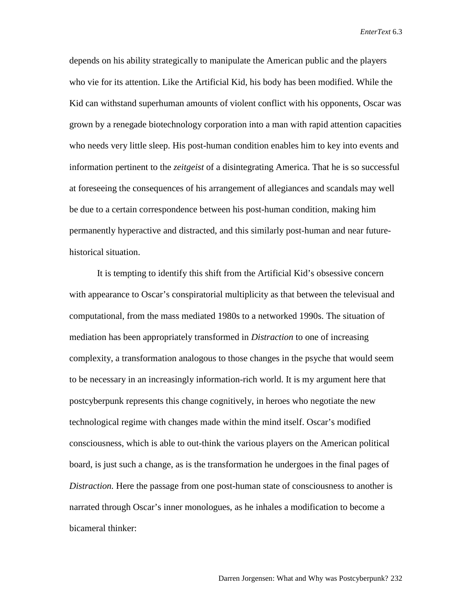depends on his ability strategically to manipulate the American public and the players who vie for its attention. Like the Artificial Kid, his body has been modified. While the Kid can withstand superhuman amounts of violent conflict with his opponents, Oscar was grown by a renegade biotechnology corporation into a man with rapid attention capacities who needs very little sleep. His post-human condition enables him to key into events and information pertinent to the *zeitgeist* of a disintegrating America. That he is so successful at foreseeing the consequences of his arrangement of allegiances and scandals may well be due to a certain correspondence between his post-human condition, making him permanently hyperactive and distracted, and this similarly post-human and near futurehistorical situation.

It is tempting to identify this shift from the Artificial Kid's obsessive concern with appearance to Oscar's conspiratorial multiplicity as that between the televisual and computational, from the mass mediated 1980s to a networked 1990s. The situation of mediation has been appropriately transformed in *Distraction* to one of increasing complexity, a transformation analogous to those changes in the psyche that would seem to be necessary in an increasingly information-rich world. It is my argument here that postcyberpunk represents this change cognitively, in heroes who negotiate the new technological regime with changes made within the mind itself. Oscar's modified consciousness, which is able to out-think the various players on the American political board, is just such a change, as is the transformation he undergoes in the final pages of *Distraction.* Here the passage from one post-human state of consciousness to another is narrated through Oscar's inner monologues, as he inhales a modification to become a bicameral thinker: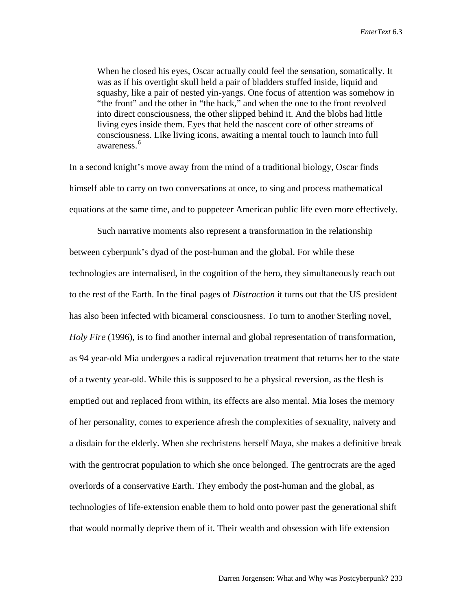When he closed his eyes, Oscar actually could feel the sensation, somatically. It was as if his overtight skull held a pair of bladders stuffed inside, liquid and squashy, like a pair of nested yin-yangs. One focus of attention was somehow in "the front" and the other in "the back," and when the one to the front revolved into direct consciousness, the other slipped behind it. And the blobs had little living eyes inside them. Eyes that held the nascent core of other streams of consciousness. Like living icons, awaiting a mental touch to launch into full awareness.<sup>[6](#page-15-5)</sup>

In a second knight's move away from the mind of a traditional biology, Oscar finds himself able to carry on two conversations at once, to sing and process mathematical equations at the same time, and to puppeteer American public life even more effectively.

Such narrative moments also represent a transformation in the relationship between cyberpunk's dyad of the post-human and the global. For while these technologies are internalised, in the cognition of the hero, they simultaneously reach out to the rest of the Earth. In the final pages of *Distraction* it turns out that the US president has also been infected with bicameral consciousness. To turn to another Sterling novel, *Holy Fire* (1996), is to find another internal and global representation of transformation, as 94 year-old Mia undergoes a radical rejuvenation treatment that returns her to the state of a twenty year-old. While this is supposed to be a physical reversion, as the flesh is emptied out and replaced from within, its effects are also mental. Mia loses the memory of her personality, comes to experience afresh the complexities of sexuality, naivety and a disdain for the elderly. When she rechristens herself Maya, she makes a definitive break with the gentrocrat population to which she once belonged. The gentrocrats are the aged overlords of a conservative Earth. They embody the post-human and the global, as technologies of life-extension enable them to hold onto power past the generational shift that would normally deprive them of it. Their wealth and obsession with life extension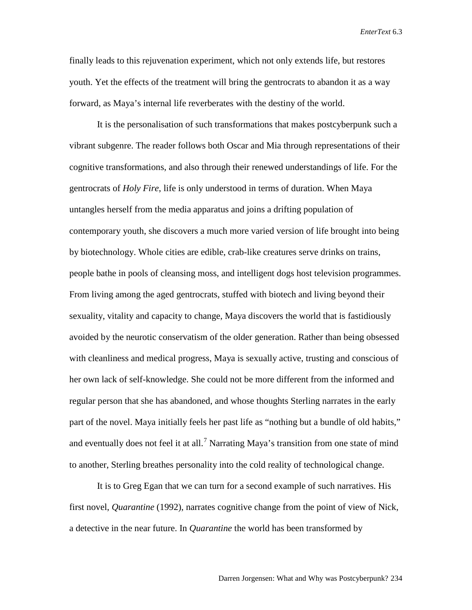finally leads to this rejuvenation experiment, which not only extends life, but restores youth. Yet the effects of the treatment will bring the gentrocrats to abandon it as a way forward, as Maya's internal life reverberates with the destiny of the world.

It is the personalisation of such transformations that makes postcyberpunk such a vibrant subgenre. The reader follows both Oscar and Mia through representations of their cognitive transformations, and also through their renewed understandings of life. For the gentrocrats of *Holy Fire*, life is only understood in terms of duration. When Maya untangles herself from the media apparatus and joins a drifting population of contemporary youth, she discovers a much more varied version of life brought into being by biotechnology. Whole cities are edible, crab-like creatures serve drinks on trains, people bathe in pools of cleansing moss, and intelligent dogs host television programmes. From living among the aged gentrocrats, stuffed with biotech and living beyond their sexuality, vitality and capacity to change, Maya discovers the world that is fastidiously avoided by the neurotic conservatism of the older generation. Rather than being obsessed with cleanliness and medical progress, Maya is sexually active, trusting and conscious of her own lack of self-knowledge. She could not be more different from the informed and regular person that she has abandoned, and whose thoughts Sterling narrates in the early part of the novel. Maya initially feels her past life as "nothing but a bundle of old habits," and eventually does not feel it at all.<sup>[7](#page-15-6)</sup> Narrating Maya's transition from one state of mind to another, Sterling breathes personality into the cold reality of technological change.

It is to Greg Egan that we can turn for a second example of such narratives. His first novel, *Quarantine* (1992), narrates cognitive change from the point of view of Nick, a detective in the near future. In *Quarantine* the world has been transformed by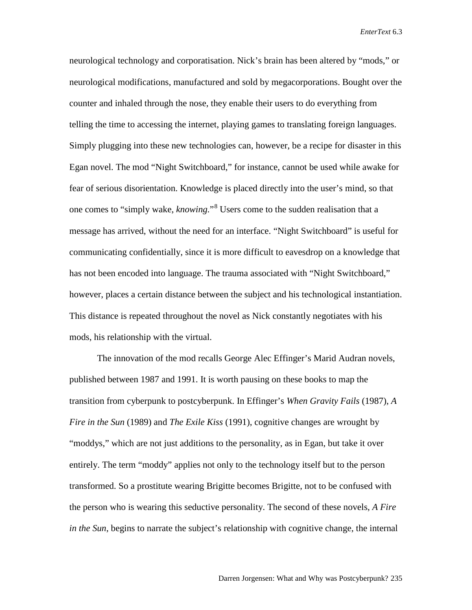neurological technology and corporatisation. Nick's brain has been altered by "mods," or neurological modifications, manufactured and sold by megacorporations. Bought over the counter and inhaled through the nose, they enable their users to do everything from telling the time to accessing the internet, playing games to translating foreign languages. Simply plugging into these new technologies can, however, be a recipe for disaster in this Egan novel. The mod "Night Switchboard," for instance, cannot be used while awake for fear of serious disorientation. Knowledge is placed directly into the user's mind, so that one comes to "simply wake, *knowing.*"[8](#page-15-7) Users come to the sudden realisation that a message has arrived, without the need for an interface. "Night Switchboard" is useful for communicating confidentially, since it is more difficult to eavesdrop on a knowledge that has not been encoded into language. The trauma associated with "Night Switchboard," however, places a certain distance between the subject and his technological instantiation. This distance is repeated throughout the novel as Nick constantly negotiates with his mods, his relationship with the virtual.

The innovation of the mod recalls George Alec Effinger's Marid Audran novels, published between 1987 and 1991. It is worth pausing on these books to map the transition from cyberpunk to postcyberpunk. In Effinger's *When Gravity Fails* (1987), *A Fire in the Sun* (1989) and *The Exile Kiss* (1991), cognitive changes are wrought by "moddys," which are not just additions to the personality, as in Egan, but take it over entirely. The term "moddy" applies not only to the technology itself but to the person transformed. So a prostitute wearing Brigitte becomes Brigitte, not to be confused with the person who is wearing this seductive personality. The second of these novels, *A Fire in the Sun*, begins to narrate the subject's relationship with cognitive change, the internal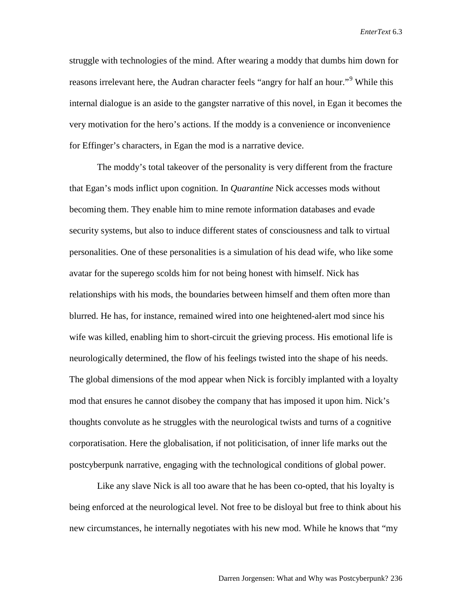struggle with technologies of the mind. After wearing a moddy that dumbs him down for reasons irrelevant here, the Audran character feels "angry for half an hour."<sup>[9](#page-15-8)</sup> While this internal dialogue is an aside to the gangster narrative of this novel, in Egan it becomes the very motivation for the hero's actions. If the moddy is a convenience or inconvenience for Effinger's characters, in Egan the mod is a narrative device.

The moddy's total takeover of the personality is very different from the fracture that Egan's mods inflict upon cognition. In *Quarantine* Nick accesses mods without becoming them. They enable him to mine remote information databases and evade security systems, but also to induce different states of consciousness and talk to virtual personalities. One of these personalities is a simulation of his dead wife, who like some avatar for the superego scolds him for not being honest with himself. Nick has relationships with his mods, the boundaries between himself and them often more than blurred. He has, for instance, remained wired into one heightened-alert mod since his wife was killed, enabling him to short-circuit the grieving process. His emotional life is neurologically determined, the flow of his feelings twisted into the shape of his needs. The global dimensions of the mod appear when Nick is forcibly implanted with a loyalty mod that ensures he cannot disobey the company that has imposed it upon him. Nick's thoughts convolute as he struggles with the neurological twists and turns of a cognitive corporatisation. Here the globalisation, if not politicisation, of inner life marks out the postcyberpunk narrative, engaging with the technological conditions of global power.

Like any slave Nick is all too aware that he has been co-opted, that his loyalty is being enforced at the neurological level. Not free to be disloyal but free to think about his new circumstances, he internally negotiates with his new mod. While he knows that "my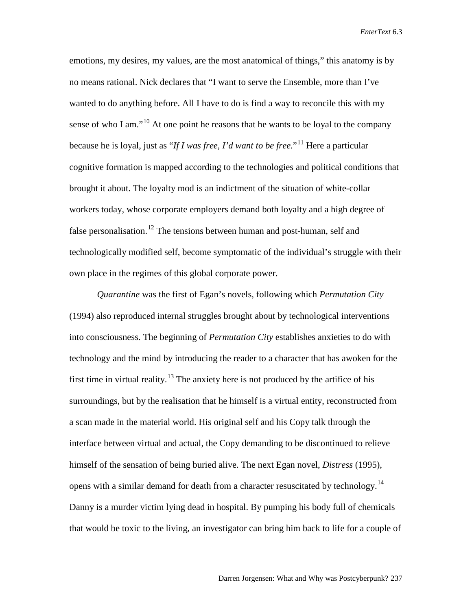emotions, my desires, my values, are the most anatomical of things," this anatomy is by no means rational. Nick declares that "I want to serve the Ensemble, more than I've wanted to do anything before. All I have to do is find a way to reconcile this with my sense of who I am."<sup>[10](#page-15-9)</sup> At one point he reasons that he wants to be loyal to the company because he is loyal, just as "*If I was free, I'd want to be free.*"[11](#page-15-10) Here a particular cognitive formation is mapped according to the technologies and political conditions that brought it about. The loyalty mod is an indictment of the situation of white-collar workers today, whose corporate employers demand both loyalty and a high degree of false personalisation.<sup>[12](#page-15-11)</sup> The tensions between human and post-human, self and technologically modified self, become symptomatic of the individual's struggle with their own place in the regimes of this global corporate power.

*Quarantine* was the first of Egan's novels, following which *Permutation City* (1994) also reproduced internal struggles brought about by technological interventions into consciousness. The beginning of *Permutation City* establishes anxieties to do with technology and the mind by introducing the reader to a character that has awoken for the first time in virtual reality.<sup>[13](#page-15-12)</sup> The anxiety here is not produced by the artifice of his surroundings, but by the realisation that he himself is a virtual entity, reconstructed from a scan made in the material world. His original self and his Copy talk through the interface between virtual and actual, the Copy demanding to be discontinued to relieve himself of the sensation of being buried alive. The next Egan novel, *Distress* (1995), opens with a similar demand for death from a character resuscitated by technology.<sup>[14](#page-15-13)</sup> Danny is a murder victim lying dead in hospital. By pumping his body full of chemicals that would be toxic to the living, an investigator can bring him back to life for a couple of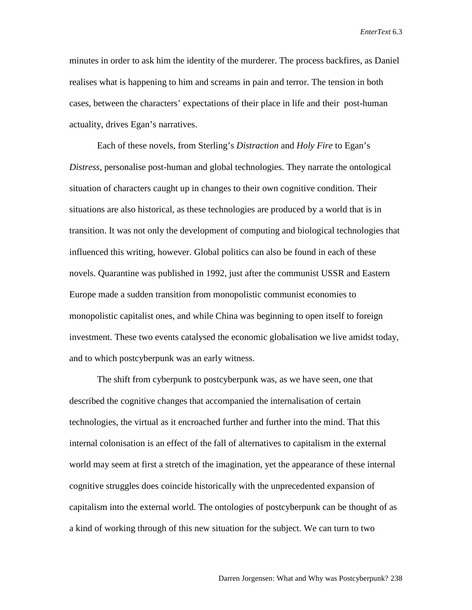minutes in order to ask him the identity of the murderer. The process backfires, as Daniel realises what is happening to him and screams in pain and terror. The tension in both cases, between the characters' expectations of their place in life and their post-human actuality, drives Egan's narratives.

Each of these novels, from Sterling's *Distraction* and *Holy Fire* to Egan's *Distress*, personalise post-human and global technologies. They narrate the ontological situation of characters caught up in changes to their own cognitive condition. Their situations are also historical, as these technologies are produced by a world that is in transition. It was not only the development of computing and biological technologies that influenced this writing, however. Global politics can also be found in each of these novels. Quarantine was published in 1992, just after the communist USSR and Eastern Europe made a sudden transition from monopolistic communist economies to monopolistic capitalist ones, and while China was beginning to open itself to foreign investment. These two events catalysed the economic globalisation we live amidst today, and to which postcyberpunk was an early witness.

The shift from cyberpunk to postcyberpunk was, as we have seen, one that described the cognitive changes that accompanied the internalisation of certain technologies, the virtual as it encroached further and further into the mind. That this internal colonisation is an effect of the fall of alternatives to capitalism in the external world may seem at first a stretch of the imagination, yet the appearance of these internal cognitive struggles does coincide historically with the unprecedented expansion of capitalism into the external world. The ontologies of postcyberpunk can be thought of as a kind of working through of this new situation for the subject. We can turn to two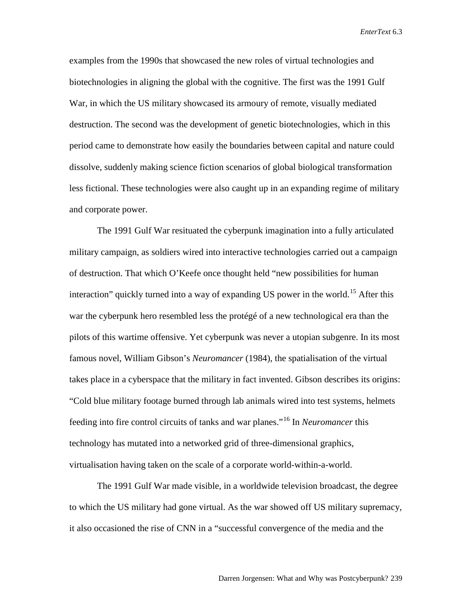examples from the 1990s that showcased the new roles of virtual technologies and biotechnologies in aligning the global with the cognitive. The first was the 1991 Gulf War, in which the US military showcased its armoury of remote, visually mediated destruction. The second was the development of genetic biotechnologies, which in this period came to demonstrate how easily the boundaries between capital and nature could dissolve, suddenly making science fiction scenarios of global biological transformation less fictional. These technologies were also caught up in an expanding regime of military and corporate power.

The 1991 Gulf War resituated the cyberpunk imagination into a fully articulated military campaign, as soldiers wired into interactive technologies carried out a campaign of destruction. That which O'Keefe once thought held "new possibilities for human interaction" quickly turned into a way of expanding US power in the world.<sup>[15](#page-15-14)</sup> After this war the cyberpunk hero resembled less the protégé of a new technological era than the pilots of this wartime offensive. Yet cyberpunk was never a utopian subgenre. In its most famous novel, William Gibson's *Neuromancer* (1984), the spatialisation of the virtual takes place in a cyberspace that the military in fact invented. Gibson describes its origins: "Cold blue military footage burned through lab animals wired into test systems, helmets feeding into fire control circuits of tanks and war planes."[16](#page-15-15) In *Neuromancer* this technology has mutated into a networked grid of three-dimensional graphics, virtualisation having taken on the scale of a corporate world-within-a-world.

The 1991 Gulf War made visible, in a worldwide television broadcast, the degree to which the US military had gone virtual. As the war showed off US military supremacy, it also occasioned the rise of CNN in a "successful convergence of the media and the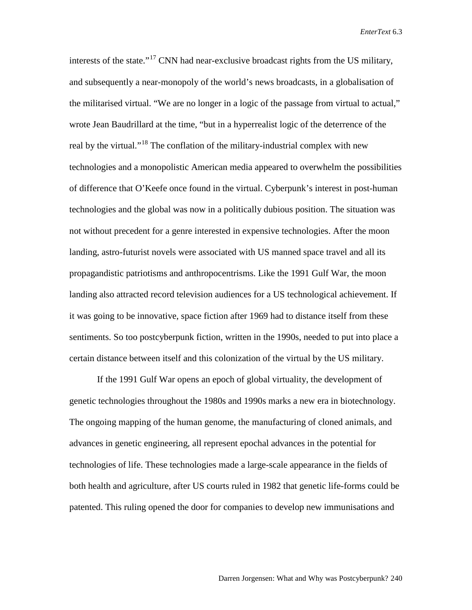interests of the state."<sup>[17](#page-15-16)</sup> CNN had near-exclusive broadcast rights from the US military, and subsequently a near-monopoly of the world's news broadcasts, in a globalisation of the militarised virtual. "We are no longer in a logic of the passage from virtual to actual," wrote Jean Baudrillard at the time, "but in a hyperrealist logic of the deterrence of the real by the virtual."<sup>[18](#page-15-17)</sup> The conflation of the military-industrial complex with new technologies and a monopolistic American media appeared to overwhelm the possibilities of difference that O'Keefe once found in the virtual. Cyberpunk's interest in post-human technologies and the global was now in a politically dubious position. The situation was not without precedent for a genre interested in expensive technologies. After the moon landing, astro-futurist novels were associated with US manned space travel and all its propagandistic patriotisms and anthropocentrisms. Like the 1991 Gulf War, the moon landing also attracted record television audiences for a US technological achievement. If it was going to be innovative, space fiction after 1969 had to distance itself from these sentiments. So too postcyberpunk fiction, written in the 1990s, needed to put into place a certain distance between itself and this colonization of the virtual by the US military.

If the 1991 Gulf War opens an epoch of global virtuality, the development of genetic technologies throughout the 1980s and 1990s marks a new era in biotechnology. The ongoing mapping of the human genome, the manufacturing of cloned animals, and advances in genetic engineering, all represent epochal advances in the potential for technologies of life. These technologies made a large-scale appearance in the fields of both health and agriculture, after US courts ruled in 1982 that genetic life-forms could be patented. This ruling opened the door for companies to develop new immunisations and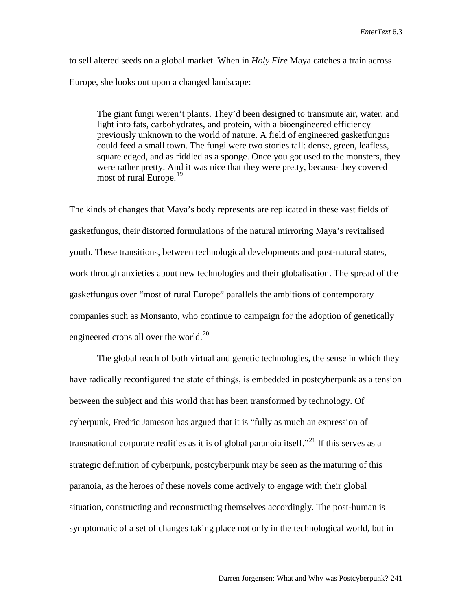to sell altered seeds on a global market. When in *Holy Fire* Maya catches a train across Europe, she looks out upon a changed landscape:

The giant fungi weren't plants. They'd been designed to transmute air, water, and light into fats, carbohydrates, and protein, with a bioengineered efficiency previously unknown to the world of nature. A field of engineered gasketfungus could feed a small town. The fungi were two stories tall: dense, green, leafless, square edged, and as riddled as a sponge. Once you got used to the monsters, they were rather pretty. And it was nice that they were pretty, because they covered most of rural Europe.<sup>[19](#page-15-18)</sup>

The kinds of changes that Maya's body represents are replicated in these vast fields of gasketfungus, their distorted formulations of the natural mirroring Maya's revitalised youth. These transitions, between technological developments and post-natural states, work through anxieties about new technologies and their globalisation. The spread of the gasketfungus over "most of rural Europe" parallels the ambitions of contemporary companies such as Monsanto, who continue to campaign for the adoption of genetically engineered crops all over the world.<sup>[20](#page-15-19)</sup>

The global reach of both virtual and genetic technologies, the sense in which they have radically reconfigured the state of things, is embedded in postcyberpunk as a tension between the subject and this world that has been transformed by technology. Of cyberpunk, Fredric Jameson has argued that it is "fully as much an expression of transnational corporate realities as it is of global paranoia itself."<sup>[21](#page-15-20)</sup> If this serves as a strategic definition of cyberpunk, postcyberpunk may be seen as the maturing of this paranoia, as the heroes of these novels come actively to engage with their global situation, constructing and reconstructing themselves accordingly. The post-human is symptomatic of a set of changes taking place not only in the technological world, but in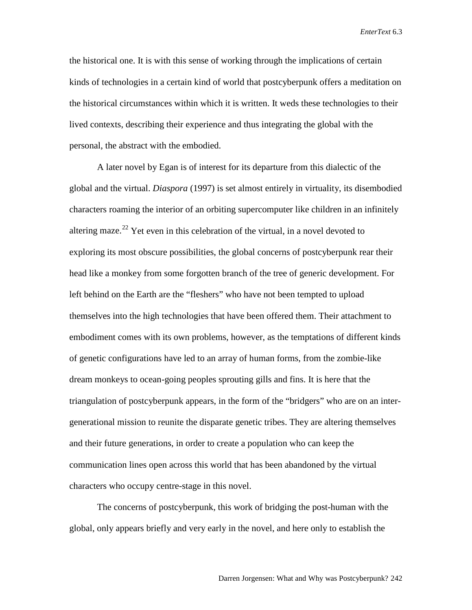the historical one. It is with this sense of working through the implications of certain kinds of technologies in a certain kind of world that postcyberpunk offers a meditation on the historical circumstances within which it is written. It weds these technologies to their lived contexts, describing their experience and thus integrating the global with the personal, the abstract with the embodied.

A later novel by Egan is of interest for its departure from this dialectic of the global and the virtual. *Diaspora* (1997) is set almost entirely in virtuality, its disembodied characters roaming the interior of an orbiting supercomputer like children in an infinitely altering maze.<sup>[22](#page-15-21)</sup> Yet even in this celebration of the virtual, in a novel devoted to exploring its most obscure possibilities, the global concerns of postcyberpunk rear their head like a monkey from some forgotten branch of the tree of generic development. For left behind on the Earth are the "fleshers" who have not been tempted to upload themselves into the high technologies that have been offered them. Their attachment to embodiment comes with its own problems, however, as the temptations of different kinds of genetic configurations have led to an array of human forms, from the zombie-like dream monkeys to ocean-going peoples sprouting gills and fins. It is here that the triangulation of postcyberpunk appears, in the form of the "bridgers" who are on an intergenerational mission to reunite the disparate genetic tribes. They are altering themselves and their future generations, in order to create a population who can keep the communication lines open across this world that has been abandoned by the virtual characters who occupy centre-stage in this novel.

The concerns of postcyberpunk, this work of bridging the post-human with the global, only appears briefly and very early in the novel, and here only to establish the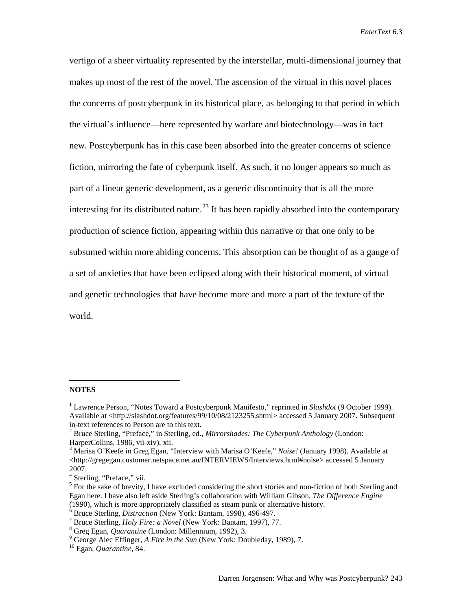vertigo of a sheer virtuality represented by the interstellar, multi-dimensional journey that makes up most of the rest of the novel. The ascension of the virtual in this novel places the concerns of postcyberpunk in its historical place, as belonging to that period in which the virtual's influence—here represented by warfare and biotechnology—was in fact new. Postcyberpunk has in this case been absorbed into the greater concerns of science fiction, mirroring the fate of cyberpunk itself. As such, it no longer appears so much as part of a linear generic development, as a generic discontinuity that is all the more interesting for its distributed nature.<sup>[23](#page-15-22)</sup> It has been rapidly absorbed into the contemporary production of science fiction, appearing within this narrative or that one only to be subsumed within more abiding concerns. This absorption can be thought of as a gauge of a set of anxieties that have been eclipsed along with their historical moment, of virtual and genetic technologies that have become more and more a part of the texture of the world.

## **NOTES**

 $\overline{a}$ 

<sup>1</sup> Lawrence Person, "Notes Toward a Postcyberpunk Manifesto," reprinted in *Slashdot* (9 October 1999). Available at [<http://slashdot.org/features/99/10/08/2123255.shtml>](http://slashdot.org/features/99/10/08/2123255.shtml) accessed 5 January 2007. Subsequent

in-text references to Person are to this text. <sup>2</sup> Bruce Sterling, "Preface," in Sterling, ed., *Mirrorshades: The Cyberpunk Anthology* (London:

<sup>&</sup>lt;sup>3</sup> Marisa O'Keefe in Greg Egan, "Interview with Marisa O'Keefe," *Noise!* (January 1998). Available at <http://gregegan.customer.netspace.net.au/INTERVIEWS/Interviews.html#noise> accessed 5 January 2007.<br><sup>4</sup> Sterling, "Preface," vii.

 $5$  For the sake of brevity, I have excluded considering the short stories and non-fiction of both Sterling and Egan here. I have also left aside Sterling's collaboration with William Gibson, *The Difference Engine*

<sup>&</sup>lt;sup>6</sup> Bruce Sterling, *Distraction* (New York: Bantam, 1998), 496-497.<br>
<sup>7</sup> Bruce Sterling, *Holy Fire: a Novel* (New York: Bantam, 1997), 77.<br>
<sup>8</sup> Greg Egan, *Quarantine* (London: Millennium, 1992), 3.<br>
<sup>9</sup> George Alec Eff